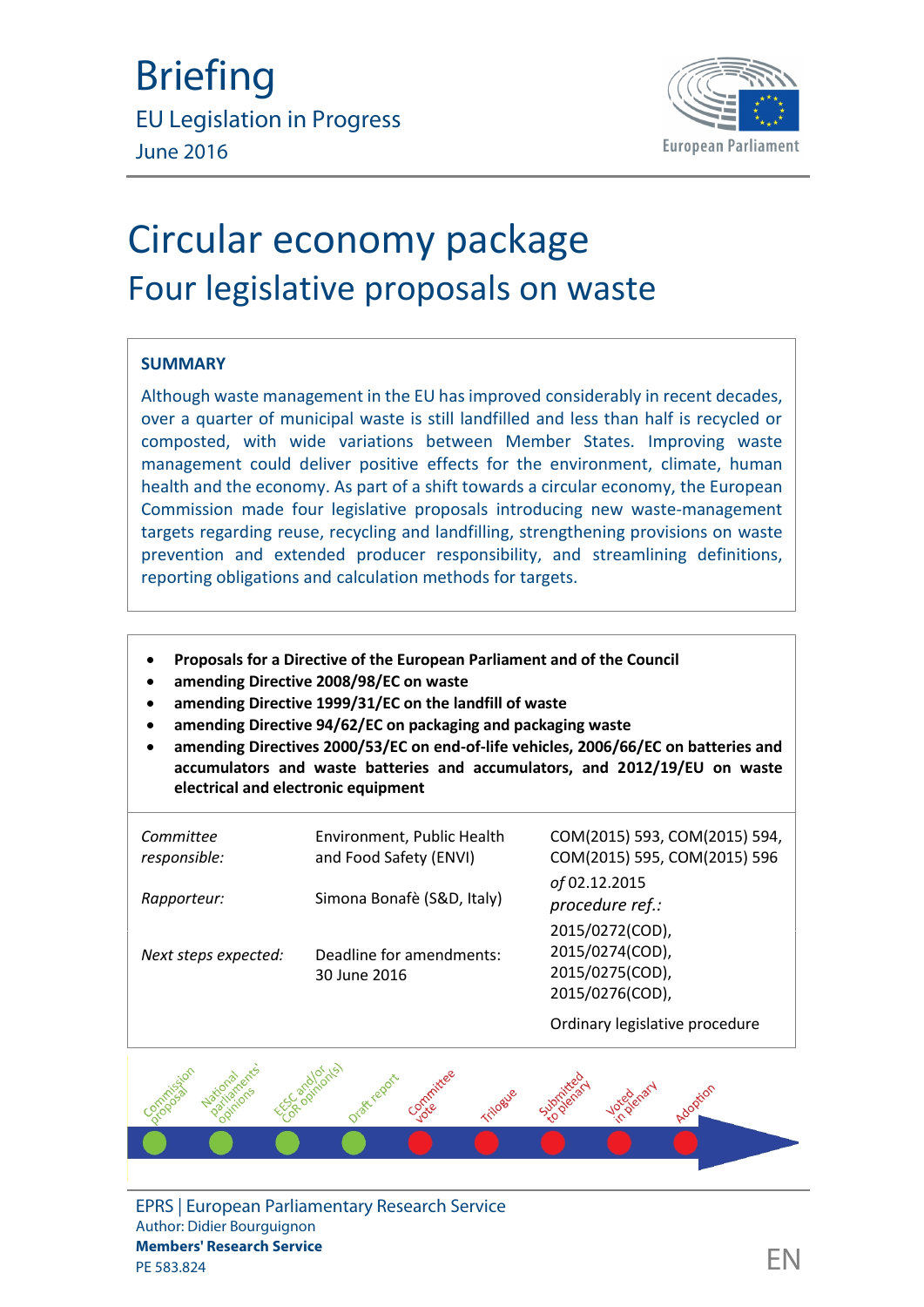

# Circular economy package Four legislative proposals on waste

#### **SUMMARY**

Although waste management in the EU has improved considerably in recent decades, over a quarter of municipal waste is still landfilled and less than half is recycled or composted, with wide variations between Member States. Improving waste management could deliver positive effects for the environment, climate, human health and the economy. As part of a shift towards a circular economy, the European Commission made four legislative proposals introducing new waste-management targets regarding reuse, recycling and landfilling, strengthening provisions on waste prevention and extended producer responsibility, and streamlining definitions, reporting obligations and calculation methods for targets.

- **Proposals for a Directive of the European Parliament and of the Council**
- **amending Directive 2008/98/EC on waste**
- **amending Directive 1999/31/EC on the landfill of waste**
- **amending Directive 94/62/EC on packaging and packaging waste**
- **amending Directives 2000/53/EC on end-of-life vehicles, 2006/66/EC on batteries and accumulators and waste batteries and accumulators, and 2012/19/EU on waste electrical and electronic equipment**

| Committee<br>responsible: | Environment, Public Health<br>and Food Safety (ENVI) | COM(2015) 593, COM(2015) 594,<br>COM(2015) 595, COM(2015) 596            |  |
|---------------------------|------------------------------------------------------|--------------------------------------------------------------------------|--|
| Rapporteur:               | Simona Bonafè (S&D, Italy)                           | of 02.12.2015<br>procedure ref.:                                         |  |
| Next steps expected:      | Deadline for amendments:<br>30 June 2016             | 2015/0272(COD),<br>2015/0274(COD),<br>2015/0275(COD),<br>2015/0276(COD), |  |
|                           |                                                      | Ordinary legislative procedure                                           |  |



EPRS | European Parliamentary Research Service Author: Didier Bourguignon **Members' Research Service** members Research Service<br>PE 583.824  $\Box$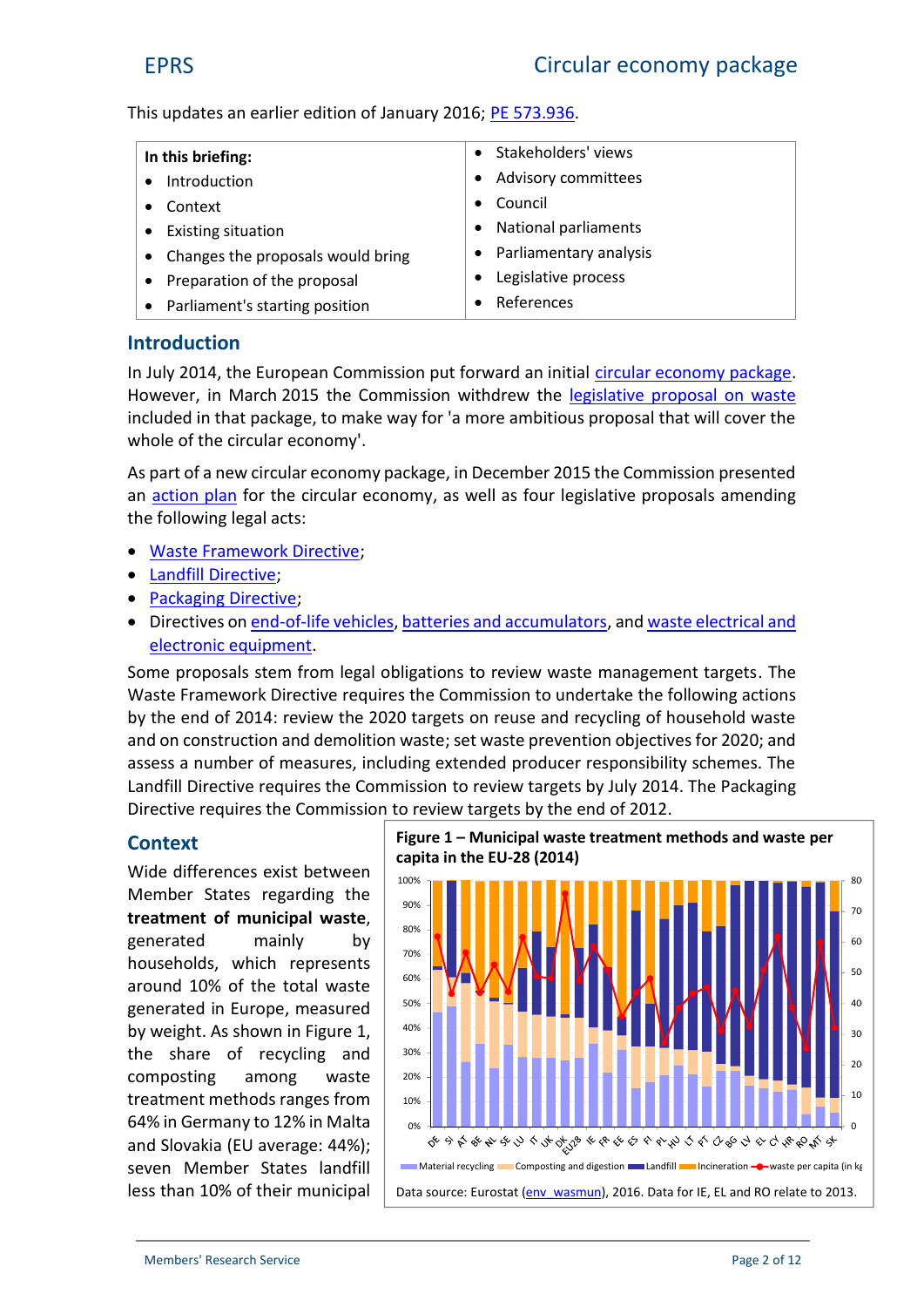This updates an earlier edition of January 2016; [PE 573.936](http://www.europarl.europa.eu/thinktank/en/document.html?reference=EPRS_BRI(2016)573936).

| In this briefing:                   | Stakeholders' views         |
|-------------------------------------|-----------------------------|
| • Introduction                      | Advisory committees         |
| Context                             | Council                     |
| • Existing situation                | <b>National parliaments</b> |
| • Changes the proposals would bring | • Parliamentary analysis    |
| • Preparation of the proposal       | Legislative process         |
| • Parliament's starting position    | References                  |

# **Introduction**

In July 2014, the European Commission put forward an initial [circular economy package](http://www.europarl.europa.eu/RegData/etudes/BRIE/2014/545704/EPRS_BRI(2014)545704_REV1_EN.pdf). However, in March 2015 the Commission withdrew the [legislative proposal on waste](http://eur-lex.europa.eu/legal-content/EN/TXT/?uri=CELEX:52014PC0397) included in that package, to make way for 'a more ambitious proposal that will cover the whole of the circular economy'.

As part of a new circular economy package, in December 2015 the Commission presented an [action plan](http://eur-lex.europa.eu/legal-content/EN/TXT/?qid=1452152692467&uri=CELEX:52015DC0614) for the circular economy, as well as four legislative proposals amending the following legal acts:

- [Waste Framework Directi](http://eur-lex.europa.eu/legal-content/EN/TXT/?uri=CELEX:02008L0098-20150731)ve;
- [Landfill Directi](http://eur-lex.europa.eu/legal-content/EN/TXT/?uri=CELEX:01999L0031-20111213)ve;
- [Packaging Directi](http://eur-lex.europa.eu/legal-content/EN/TXT/?uri=CELEX:01994L0062-20150526)ve;
- Directives on [end-of-life vehic](http://eur-lex.europa.eu/legal-content/EN/TXT/?qid=1430393288621&uri=CELEX:02000L0053-20130611)les, [batteries and accumulato](http://eur-lex.europa.eu/legal-content/EN/TXT/?uri=CELEX:02006L0066-20131230)rs, and [waste electrical and](http://eur-lex.europa.eu/legal-content/EN/TXT/?uri=CELEX:32012L0019) [electronic equipment](http://eur-lex.europa.eu/legal-content/EN/TXT/?uri=CELEX:32012L0019).

Some proposals stem from legal obligations to review waste management targets. The Waste Framework Directive requires the Commission to undertake the following actions by the end of 2014: review the 2020 targets on reuse and recycling of household waste and on construction and demolition waste; set waste prevention objectives for 2020; and assess a number of measures, including extended producer responsibility schemes. The Landfill Directive requires the Commission to review targets by July 2014. The Packaging Directive requires the Commission to review targets by the end of 2012.

#### **Context**

Wide differences exist between Member States regarding the  $\Big|$ **treatment of municipal waste**, generated mainly by households, which represents around 10% of the total waste generated in Europe, measured by weight. As shown in Figure 1, the share of recycling and  $\frac{1}{30\%}$ composting among waste treatment methods ranges from  $\parallel$  10% 64% in Germany to 12% in Malta  $\parallel$  <sub>0%</sub> and Slovakia (EU average: 44%); seven Member States landfill less than 10% of their municipal



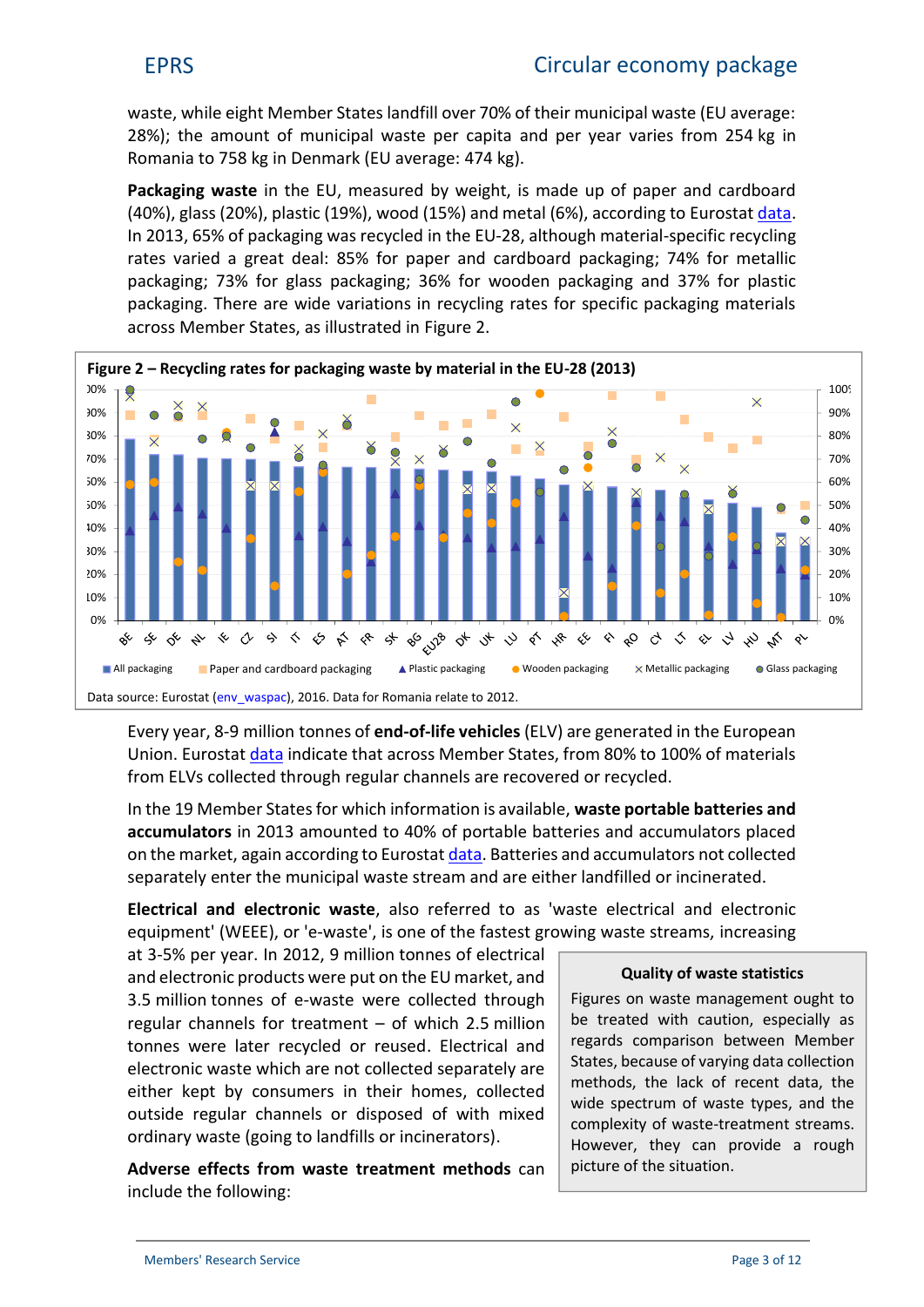waste, while eight Member States landfill over 70% of their municipal waste (EU average: 28%); the amount of municipal waste per capita and per year varies from 254 kg in Romania to 758 kg in Denmark (EU average: 474 kg).

**Packaging waste** in the EU, measured by weight, is made up of paper and cardboard (40%), glass (20%), plastic (19%), wood (15%) and metal (6%), according to Eurostat [data](http://appsso.eurostat.ec.europa.eu/nui/show.do?dataset=env_waspac&lang=en). In 2013, 65% of packaging was recycled in the EU-28, although material-specific recycling rates varied a great deal: 85% for paper and cardboard packaging; 74% for metallic packaging; 73% for glass packaging; 36% for wooden packaging and 37% for plastic packaging. There are wide variations in recycling rates for specific packaging materials across Member States, as illustrated in Figure 2.



Every year, 8-9 million tonnes of **end-of-life vehicles** (ELV) are generated in the European Union. Eurostat [data](http://appsso.eurostat.ec.europa.eu/nui/show.do?dataset=env_waselvt&lang=en) indicate that across Member States, from 80% to 100% of materials from ELVs collected through regular channels are recovered or recycled.

In the 19 Member States for which information is available, **waste portable batteries and accumulators** in 2013 amounted to 40% of portable batteries and accumulators placed on the market, again according to Eurostat [data](http://appsso.eurostat.ec.europa.eu/nui/show.do?dataset=env_waspb&lang=en). Batteries and accumulators not collected separately enter the municipal waste stream and are either landfilled or incinerated.

**Electrical and electronic waste**, also referred to as 'waste electrical and electronic equipment' (WEEE), or 'e-waste', is one of the fastest growing waste streams, increasing

at 3-5% per year. In 2012, 9 million tonnes of electrical and electronic products were put on the EU market, and 3.5 million tonnes of e-waste were collected through regular channels for treatment – of which 2.5 million tonnes were later recycled or reused. Electrical and electronic waste which are not collected separately are either kept by consumers in their homes, collected outside regular channels or disposed of with mixed ordinary waste (going to landfills or incinerators).

**Adverse effects from waste treatment methods** can include the following:

#### **Quality of waste statistics**

Figures on waste management ought to be treated with caution, especially as regards comparison between Member States, because of varying data collection methods, the lack of recent data, the wide spectrum of waste types, and the complexity of waste-treatment streams. However, they can provide a rough picture of the situation.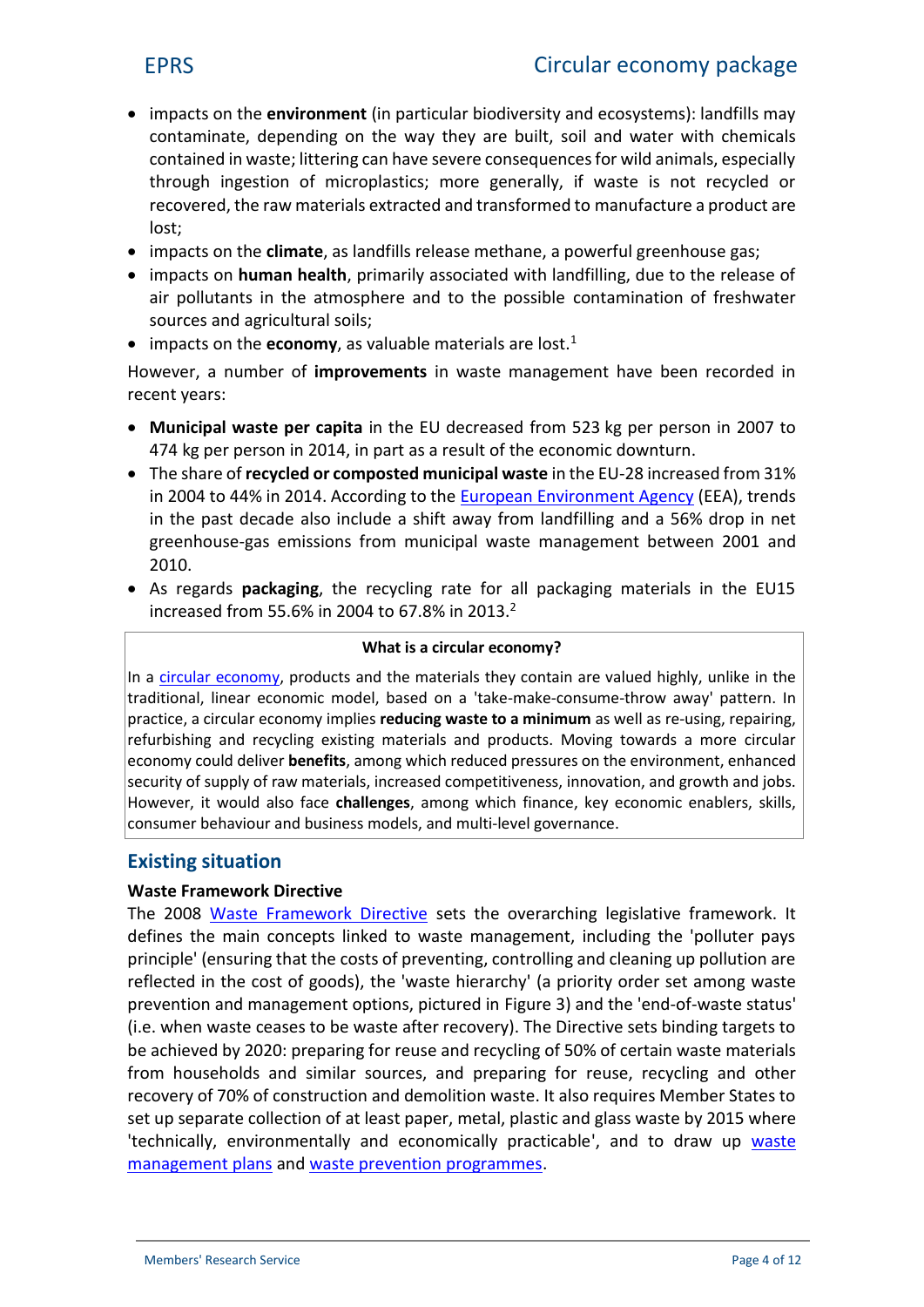- impacts on the **environment** (in particular biodiversity and ecosystems): landfills may contaminate, depending on the way they are built, soil and water with chemicals contained in waste; littering can have severe consequences for wild animals, especially through ingestion of microplastics; more generally, if waste is not recycled or recovered, the raw materials extracted and transformed to manufacture a product are lost;
- impacts on the **climate**, as landfills release methane, a powerful greenhouse gas;
- impacts on **human health**, primarily associated with landfilling, due to the release of air pollutants in the atmosphere and to the possible contamination of freshwater sources and agricultural soils;
- impacts on the **economy**, as valuable materials are lost.<sup>1</sup>

However, a number of **improvements** in waste management have been recorded in recent years:

- **Municipal waste per capita** in the EU decreased from 523 kg per person in 2007 to 474 kg per person in 2014, in part as a result of the economic downturn.
- The share of **recycled or composted municipal waste** in the EU-28 increased from 31% in 2004 to 44% in 2014. According to the [European Environment Agency](http://www.eea.europa.eu/publications/managing-municipal-solid-waste) (EEA), trends in the past decade also include a shift away from landfilling and a 56% drop in net greenhouse-gas emissions from municipal waste management between 2001 and 2010.
- As regards **packaging**, the recycling rate for all packaging materials in the EU15 increased from 55.6% in 2004 to 67.8% in 2013.<sup>2</sup>

#### **What is a circular economy?**

In a [circular economy](http://www.europarl.europa.eu/RegData/etudes/BRIE/2016/573899/EPRS_BRI(2016)573899_EN.pdf), products and the materials they contain are valued highly, unlike in the traditional, linear economic model, based on a 'take-make-consume-throw away' pattern. In practice, a circular economy implies **reducing waste to a minimum** as well as re-using, repairing, refurbishing and recycling existing materials and products. Moving towards a more circular economy could deliver **benefits**, among which reduced pressures on the environment, enhanced security of supply of raw materials, increased competitiveness, innovation, and growth and jobs. However, it would also face **challenges**, among which finance, key economic enablers, skills, consumer behaviour and business models, and multi-level governance.

# **Existing situation**

#### **Waste Framework Directive**

The 2008 [Waste Framework Directive](http://eur-lex.europa.eu/legal-content/EN/TXT/?uri=CELEX:02008L0098-20150731) sets the overarching legislative framework. It defines the main concepts linked to waste management, including the 'polluter pays principle' (ensuring that the costs of preventing, controlling and cleaning up pollution are reflected in the cost of goods), the 'waste hierarchy' (a priority order set among waste prevention and management options, pictured in Figure 3) and the 'end-of-waste status' (i.e. when waste ceases to be waste after recovery). The Directive sets binding targets to be achieved by 2020: preparing for reuse and recycling of 50% of certain waste materials from households and similar sources, and preparing for reuse, recycling and other recovery of 70% of construction and demolition waste. It also requires Member States to set up separate collection of at least paper, metal, plastic and glass waste by 2015 where 'technically, environmentally and economically practicable', and to draw up [waste](http://ec.europa.eu/environment/waste/plans/index.htm) [management plans](http://ec.europa.eu/environment/waste/plans/index.htm) and [waste prevention programmes](http://www.eea.europa.eu/publications/waste-prevention-in-europe-2015).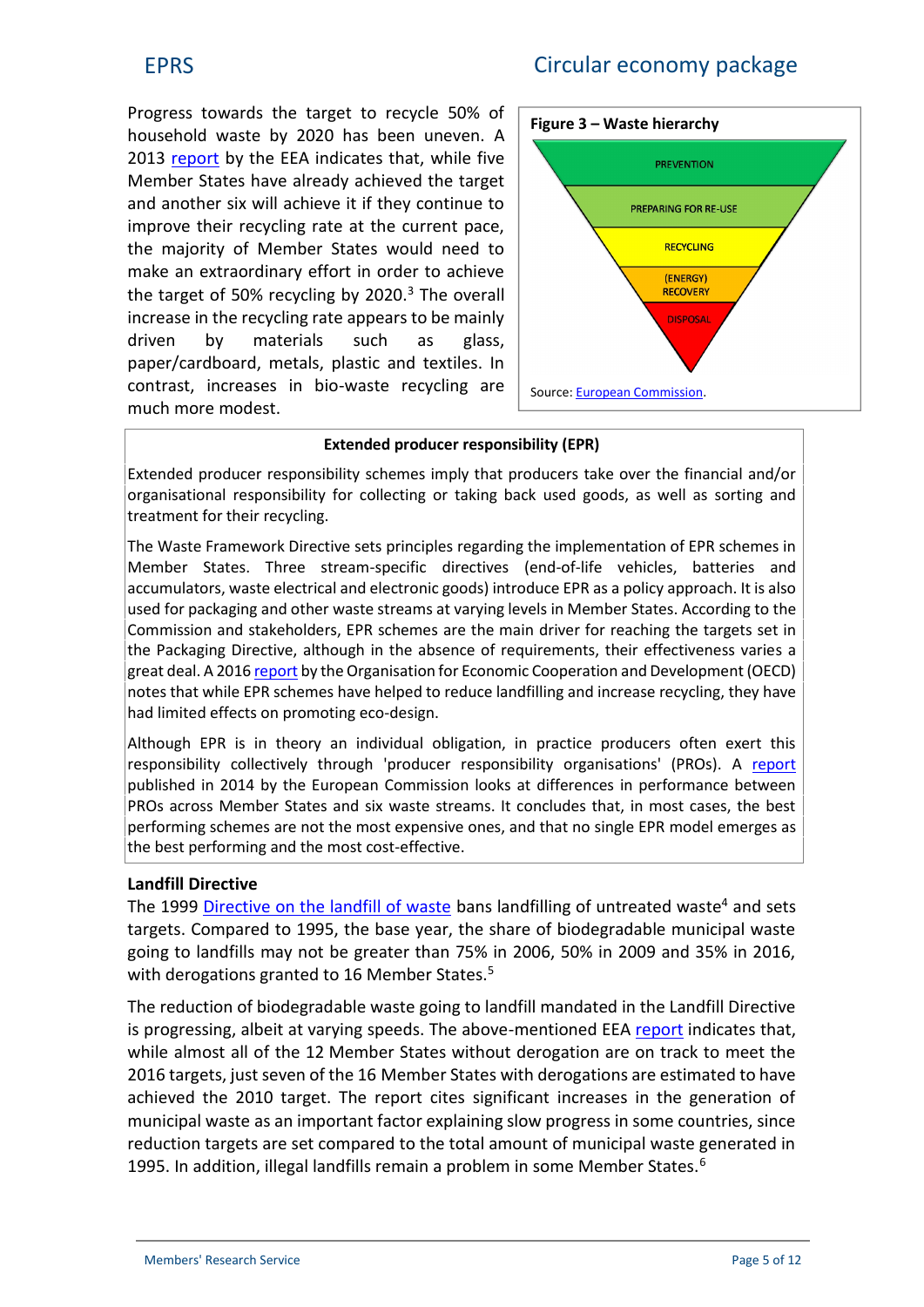# EPRS Circular economy package

Progress towards the target to recycle 50% of household waste by 2020 has been uneven. A 2013 [report](http://www.eea.europa.eu/publications/managing-municipal-solid-waste) by the EEA indicates that, while five Member States have already achieved the target and another six will achieve it if they continue to improve their recycling rate at the current pace, the majority of Member States would need to make an extraordinary effort in order to achieve the target of 50% recycling by 2020. $3$  The overall increase in the recycling rate appears to be mainly driven by materials such as glass, paper/cardboard, metals, plastic and textiles. In contrast, increases in bio-waste recycling are much more modest.



#### **Extended producer responsibility (EPR)**

Extended producer responsibility schemes imply that producers take over the financial and/or organisational responsibility for collecting or taking back used goods, as well as sorting and treatment for their recycling.

The Waste Framework Directive sets principles regarding the implementation of EPR schemes in Member States. Three stream-specific directives (end-of-life vehicles, batteries and accumulators, waste electrical and electronic goods) introduce EPR as a policy approach. It is also used for packaging and other waste streams at varying levels in Member States. According to the Commission and stakeholders, EPR schemes are the main driver for reaching the targets set in the Packaging Directive, although in the absence of requirements, their effectiveness varies a great deal. A 2016 [report](http://www.oecd-ilibrary.org/environment/policy-guidance-on-resource-efficiency_9789264257344-en) by the Organisation for Economic Cooperation and Development (OECD) notes that while EPR schemes have helped to reduce landfilling and increase recycling, they have had limited effects on promoting eco-design.

Although EPR is in theory an individual obligation, in practice producers often exert this responsibility collectively through 'producer responsibility organisations' (PROs). A [report](http://ec.europa.eu/environment/waste/pdf/target_review/Guidance on EPR - Final Report.pdf) published in 2014 by the European Commission looks at differences in performance between PROs across Member States and six waste streams. It concludes that, in most cases, the best performing schemes are not the most expensive ones, and that no single EPR model emerges as the best performing and the most cost-effective.

#### **Landfill Directive**

The 1999 [Directive on the landfill of waste](http://eur-lex.europa.eu/legal-content/EN/TXT/?uri=CELEX:01999L0031-20111213) bans landfilling of untreated waste<sup>4</sup> and sets targets. Compared to 1995, the base year, the share of biodegradable municipal waste going to landfills may not be greater than 75% in 2006, 50% in 2009 and 35% in 2016, with derogations granted to 16 Member States.<sup>5</sup>

The reduction of biodegradable waste going to landfill mandated in the Landfill Directive is progressing, albeit at varying speeds. The above-mentioned EEA [report](http://www.eea.europa.eu/publications/managing-municipal-solid-waste) indicates that, while almost all of the 12 Member States without derogation are on track to meet the 2016 targets, just seven of the 16 Member States with derogations are estimated to have achieved the 2010 target. The report cites significant increases in the generation of municipal waste as an important factor explaining slow progress in some countries, since reduction targets are set compared to the total amount of municipal waste generated in 1995. In addition, illegal landfills remain a problem in some Member States.<sup>6</sup>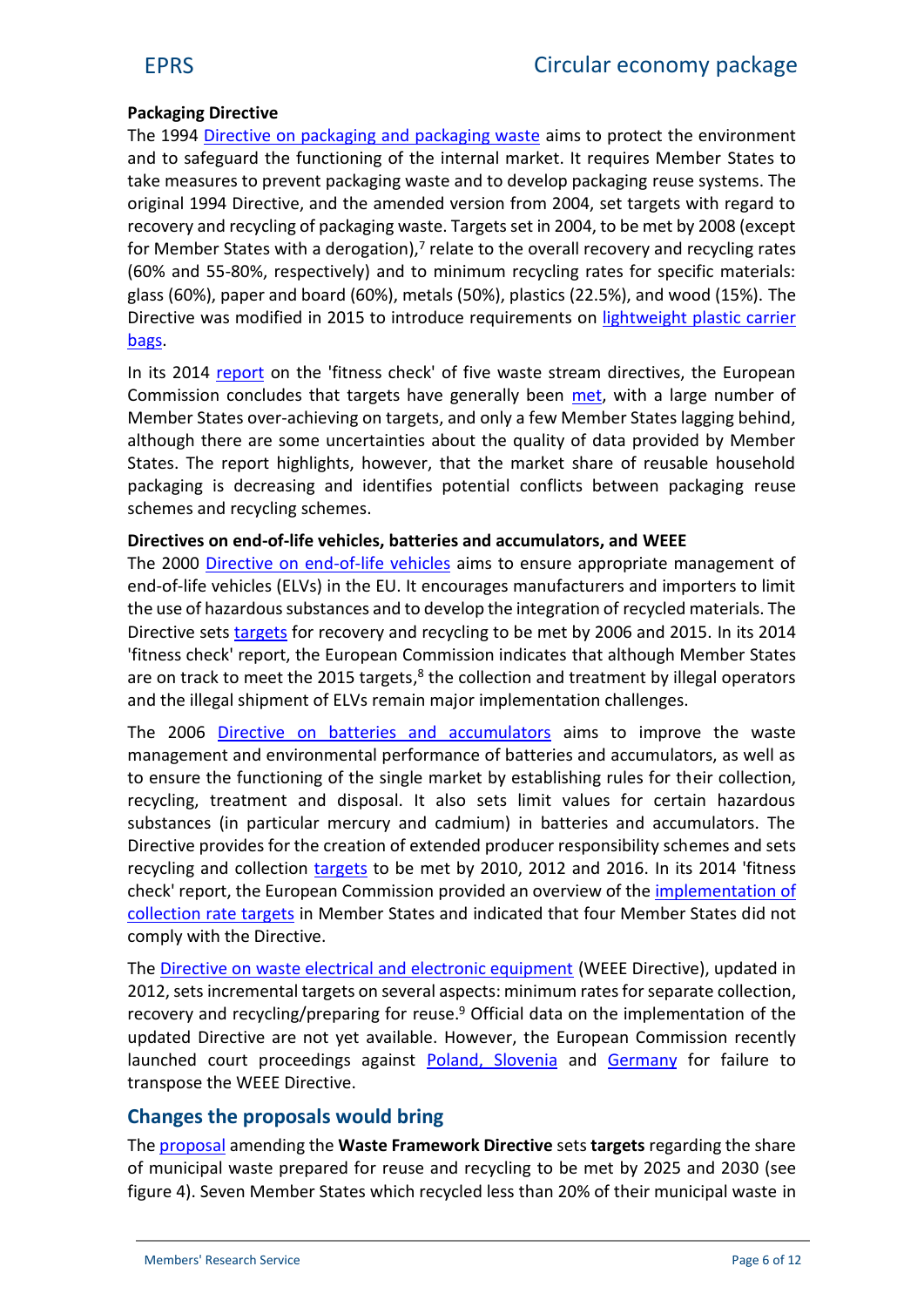#### **Packaging Directive**

The 1994 [Directive on packaging and packaging waste](http://eur-lex.europa.eu/legal-content/EN/TXT/?uri=CELEX:01994L0062-20150526) aims to protect the environment and to safeguard the functioning of the internal market. It requires Member States to take measures to prevent packaging waste and to develop packaging reuse systems. The original 1994 Directive, and the amended version from 2004, set targets with regard to recovery and recycling of packaging waste. Targets set in 2004, to be met by 2008 (except for Member States with a derogation), $<sup>7</sup>$  relate to the overall recovery and recycling rates</sup> (60% and 55-80%, respectively) and to minimum recycling rates for specific materials: glass (60%), paper and board (60%), metals (50%), plastics (22.5%), and wood (15%). The Directive was modified in 2015 to introduce requirements on [lightweight plastic carrier](http://eur-lex.europa.eu/legal-content/EN/TXT/?uri=uriserv:OJ.L_.2015.115.01.0011.01.ENG) [bags](http://eur-lex.europa.eu/legal-content/EN/TXT/?uri=uriserv:OJ.L_.2015.115.01.0011.01.ENG).

In its 2014 [report](http://eur-lex.europa.eu/legal-content/EN/TXT/?uri=CELEX:52014SC0209) on the 'fitness check' of five waste stream directives, the European Commission concludes that targets have generally been [met](http://eur-lex.europa.eu/legal-content/EN/TXT/PDF/?uri=CELEX:52014SC0209&from=EN), with a large number of Member States over-achieving on targets, and only a few Member States lagging behind, although there are some uncertainties about the quality of data provided by Member States. The report highlights, however, that the market share of reusable household packaging is decreasing and identifies potential conflicts between packaging reuse schemes and recycling schemes.

#### **Directives on end-of-life vehicles, batteries and accumulators, and WEEE**

The 2000 [Directive on end-of-life vehicles](http://eur-lex.europa.eu/legal-content/EN/TXT/?uri=CELEX:02000L0053-20130611) aims to ensure appropriate management of end-of-life vehicles (ELVs) in the EU. It encourages manufacturers and importers to limit the use of hazardous substances and to develop the integration of recycled materials. The Directive sets [targets](http://ec.europa.eu/eurostat/web/waste/key-waste-streams/elvs) for recovery and recycling to be met by 2006 and 2015. In its 2014 'fitness check' report, the European Commission indicates that although Member States are on track to meet the 2015 targets,<sup>8</sup> the collection and treatment by illegal operators and the illegal shipment of ELVs remain major implementation challenges.

The 2006 [Directive on batteries and accumulators](http://eur-lex.europa.eu/legal-content/EN/TXT/?uri=CELEX:02006L0066-20131230) aims to improve the waste management and environmental performance of batteries and accumulators, as well as to ensure the functioning of the single market by establishing rules for their collection, recycling, treatment and disposal. It also sets limit values for certain hazardous substances (in particular mercury and cadmium) in batteries and accumulators. The Directive provides for the creation of extended producer responsibility schemes and sets recycling and collection [targets](http://ec.europa.eu/eurostat/web/waste/key-waste-streams/batteries) to be met by 2010, 2012 and 2016. In its 2014 'fitness check' report, the European Commission provided an overview of the [implementation of](http://eur-lex.europa.eu/legal-content/EN/TXT/PDF/?uri=CELEX:52014SC0209&from=EN) [collection rate targets](http://eur-lex.europa.eu/legal-content/EN/TXT/PDF/?uri=CELEX:52014SC0209&from=EN) in Member States and indicated that four Member States did not comply with the Directive.

The [Directive on waste electrical and electronic equipment](http://eur-lex.europa.eu/legal-content/EN/TXT/?uri=CELEX:32012L0019&qid=1434032353636) (WEEE Directive), updated in 2012, sets incremental targets on several aspects: minimum rates for separate collection, recovery and recycling/preparing for reuse.<sup>9</sup> Official data on the implementation of the updated Directive are not yet available. However, the European Commission recently launched court proceedings against [Poland, Slovenia](http://europa.eu/rapid/press-release_IP-15-4875_en.htm) and [Germany](http://europa.eu/rapid/press-release_IP-15-5054_en.htm) for failure to transpose the WEEE Directive.

# **Changes the proposals would bring**

The [proposal](http://eur-lex.europa.eu/legal-content/EN/TXT/?qid=1452152767145&uri=CELEX:52015PC0595) amending the **Waste Framework Directive** sets **targets** regarding the share of municipal waste prepared for reuse and recycling to be met by 2025 and 2030 (see figure 4). Seven Member States which recycled less than 20% of their municipal waste in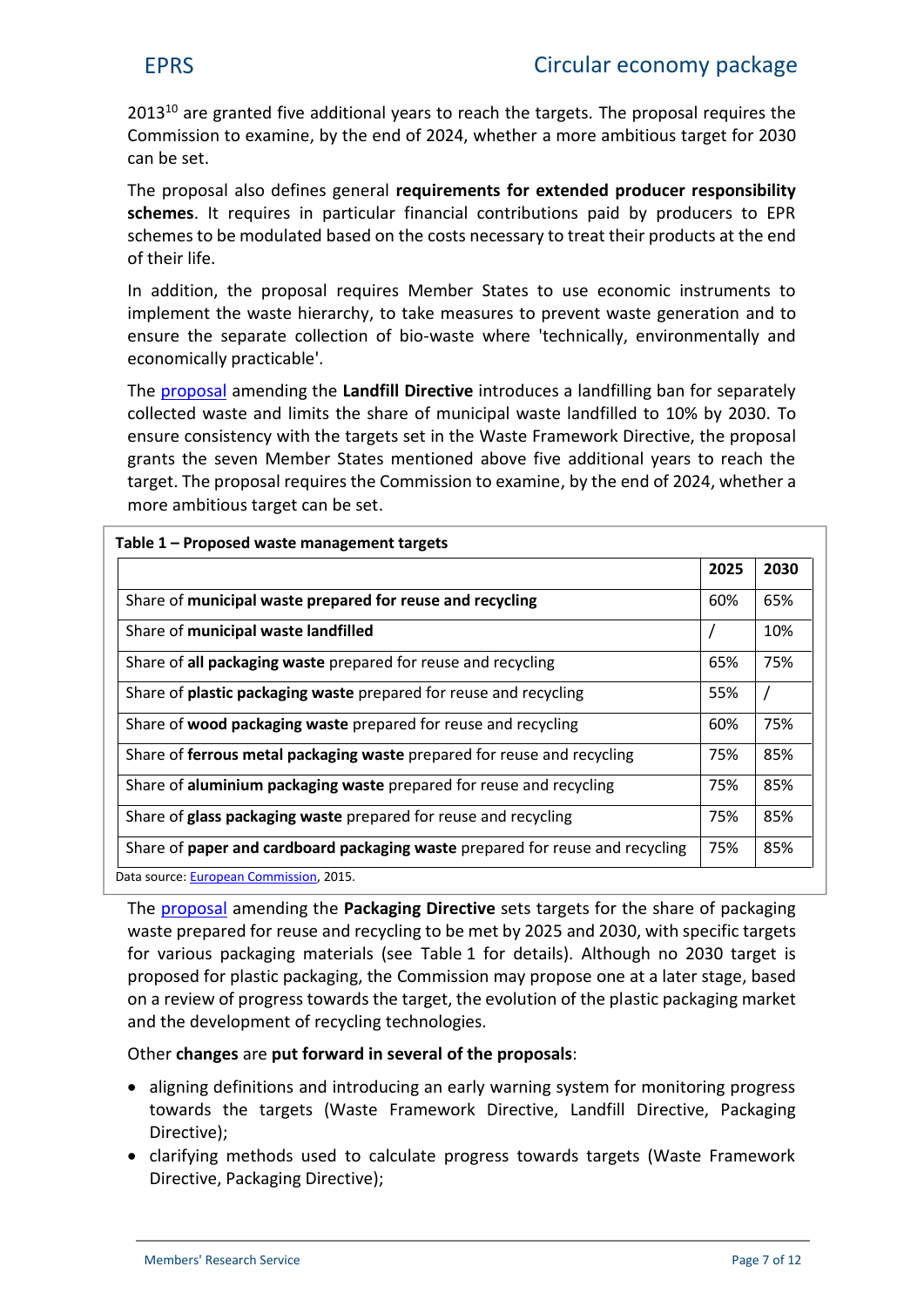$2013^{10}$  are granted five additional years to reach the targets. The proposal requires the Commission to examine, by the end of 2024, whether a more ambitious target for 2030 can be set.

The proposal also defines general **requirements for extended producer responsibility schemes**. It requires in particular financial contributions paid by producers to EPR schemes to be modulated based on the costs necessary to treat their products at the end of their life.

In addition, the proposal requires Member States to use economic instruments to implement the waste hierarchy, to take measures to prevent waste generation and to ensure the separate collection of bio-waste where 'technically, environmentally and economically practicable'.

The [proposal](http://eur-lex.europa.eu/legal-content/EN/TXT/?qid=1452152827375&uri=CELEX:52015PC0594) amending the **Landfill Directive** introduces a landfilling ban for separately collected waste and limits the share of municipal waste landfilled to 10% by 2030. To ensure consistency with the targets set in the Waste Framework Directive, the proposal grants the seven Member States mentioned above five additional years to reach the target. The proposal requires the Commission to examine, by the end of 2024, whether a more ambitious target can be set.

|                                                                               | 2025 | 2030 |
|-------------------------------------------------------------------------------|------|------|
| Share of municipal waste prepared for reuse and recycling                     | 60%  | 65%  |
| Share of municipal waste landfilled                                           |      | 10%  |
| Share of all packaging waste prepared for reuse and recycling                 | 65%  | 75%  |
| Share of <b>plastic packaging waste</b> prepared for reuse and recycling      | 55%  |      |
| Share of wood packaging waste prepared for reuse and recycling                | 60%  | 75%  |
| Share of ferrous metal packaging waste prepared for reuse and recycling       |      | 85%  |
| Share of aluminium packaging waste prepared for reuse and recycling           |      | 85%  |
| Share of glass packaging waste prepared for reuse and recycling               | 75%  | 85%  |
| Share of paper and cardboard packaging waste prepared for reuse and recycling | 75%  | 85%  |

The [proposal](http://eur-lex.europa.eu/legal-content/EN/TXT/?qid=1452152890790&uri=CELEX:52015PC0596) amending the **Packaging Directive** sets targets for the share of packaging waste prepared for reuse and recycling to be met by 2025 and 2030, with specific targets for various packaging materials (see Table 1 for details). Although no 2030 target is proposed for plastic packaging, the Commission may propose one at a later stage, based on a review of progress towards the target, the evolution of the plastic packaging market and the development of recycling technologies.

#### Other **changes** are **put forward in several of the proposals**:

- aligning definitions and introducing an early warning system for monitoring progress towards the targets (Waste Framework Directive, Landfill Directive, Packaging Directive);
- clarifying methods used to calculate progress towards targets (Waste Framework Directive, Packaging Directive);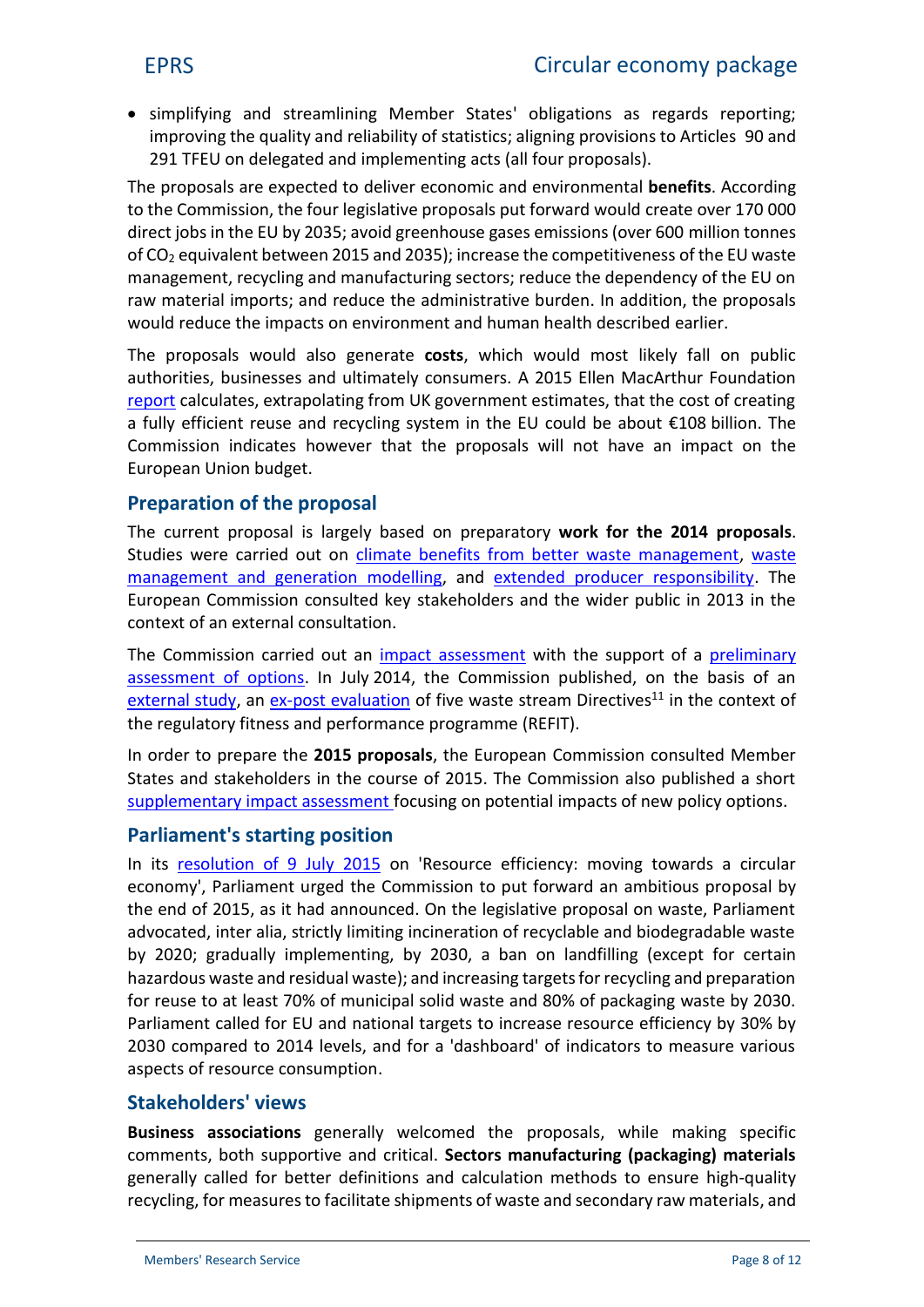• simplifying and streamlining Member States' obligations as regards reporting; improving the quality and reliability of statistics; aligning provisions to Articles 90 and 291 TFEU on delegated and implementing acts (all four proposals).

The proposals are expected to deliver economic and environmental **benefits**. According to the Commission, the four legislative proposals put forward would create over 170 000 direct jobs in the EU by 2035; avoid greenhouse gases emissions (over 600 million tonnes of CO<sup>2</sup> equivalent between 2015 and 2035); increase the competitiveness of the EU waste management, recycling and manufacturing sectors; reduce the dependency of the EU on raw material imports; and reduce the administrative burden. In addition, the proposals would reduce the impacts on environment and human health described earlier.

The proposals would also generate **costs**, which would most likely fall on public authorities, businesses and ultimately consumers. A 2015 Ellen MacArthur Foundation [report](http://www.ellenmacarthurfoundation.org/publications/growth-within-a-circular-economy-vision-for-a-competitive-europe) calculates, extrapolating from UK government estimates, that the cost of creating a fully efficient reuse and recycling system in the EU could be about €108 billion. The Commission indicates however that the proposals will not have an impact on the European Union budget.

# **Preparation of the proposal**

The current proposal is largely based on preparatory **work for the 2014 proposals**. Studies were carried out on [climate benefits from better waste management](http://www.eea.europa.eu/publications/waste-opportunities-84-past-and), [waste](http://ec.europa.eu/environment/waste/pdf/waste-generation-management-model.zip) [management and generation](http://ec.europa.eu/environment/waste/pdf/waste-generation-management-model.zip) modelling, and [extended producer responsibility](http://ec.europa.eu/environment/waste/pdf/target_review/Guidance on EPR - Final Report.pdf). The European Commission consulted key stakeholders and the wider public in 2013 in the context of an external consultation.

The Commission carried out an [impact assessment](http://eur-lex.europa.eu/legal-content/EN/TXT/?uri=CELEX:52014SC0208) with the support of a [preliminary](http://ec.europa.eu/environment/waste/pdf/target_review/Targets Review final report.pdf) [assessment of options](http://ec.europa.eu/environment/waste/pdf/target_review/Targets Review final report.pdf). In July 2014, the Commission published, on the basis of an [external study](http://ec.europa.eu/environment/waste/pdf/target_review/Final Report Ex-Post.pdf), an [ex-post evaluation](http://eur-lex.europa.eu/legal-content/EN/TXT/?uri=CELEX:52014SC0209) of five waste stream Directives<sup>11</sup> in the context of the regulatory fitness and performance programme (REFIT).

In order to prepare the **2015 proposals**, the European Commission consulted Member States and stakeholders in the course of 2015. The Commission also published a short [supplementary impact assessment](http://eur-lex.europa.eu/legal-content/EN/TXT/?qid=1450100116282&uri=CELEX:52015SC0259) focusing on potential impacts of new policy options.

# **Parliament's starting position**

In its [resolution of 9 July 2015](http://www.europarl.europa.eu/sides/getDoc.do?type=TA&language=EN&reference=P8-TA-2015-0266) on 'Resource efficiency: moving towards a circular economy', Parliament urged the Commission to put forward an ambitious proposal by the end of 2015, as it had announced. On the legislative proposal on waste, Parliament advocated, inter alia, strictly limiting incineration of recyclable and biodegradable waste by 2020; gradually implementing, by 2030, a ban on landfilling (except for certain hazardous waste and residual waste); and increasing targets for recycling and preparation for reuse to at least 70% of municipal solid waste and 80% of packaging waste by 2030. Parliament called for EU and national targets to increase resource efficiency by 30% by 2030 compared to 2014 levels, and for a 'dashboard' of indicators to measure various aspects of resource consumption.

#### **Stakeholders' views**

**Business associations** generally welcomed the proposals, while making specific comments, both supportive and critical. **Sectors manufacturing (packaging) materials** generally called for better definitions and calculation methods to ensure high-quality recycling, for measures to facilitate shipments of waste and secondary raw materials, and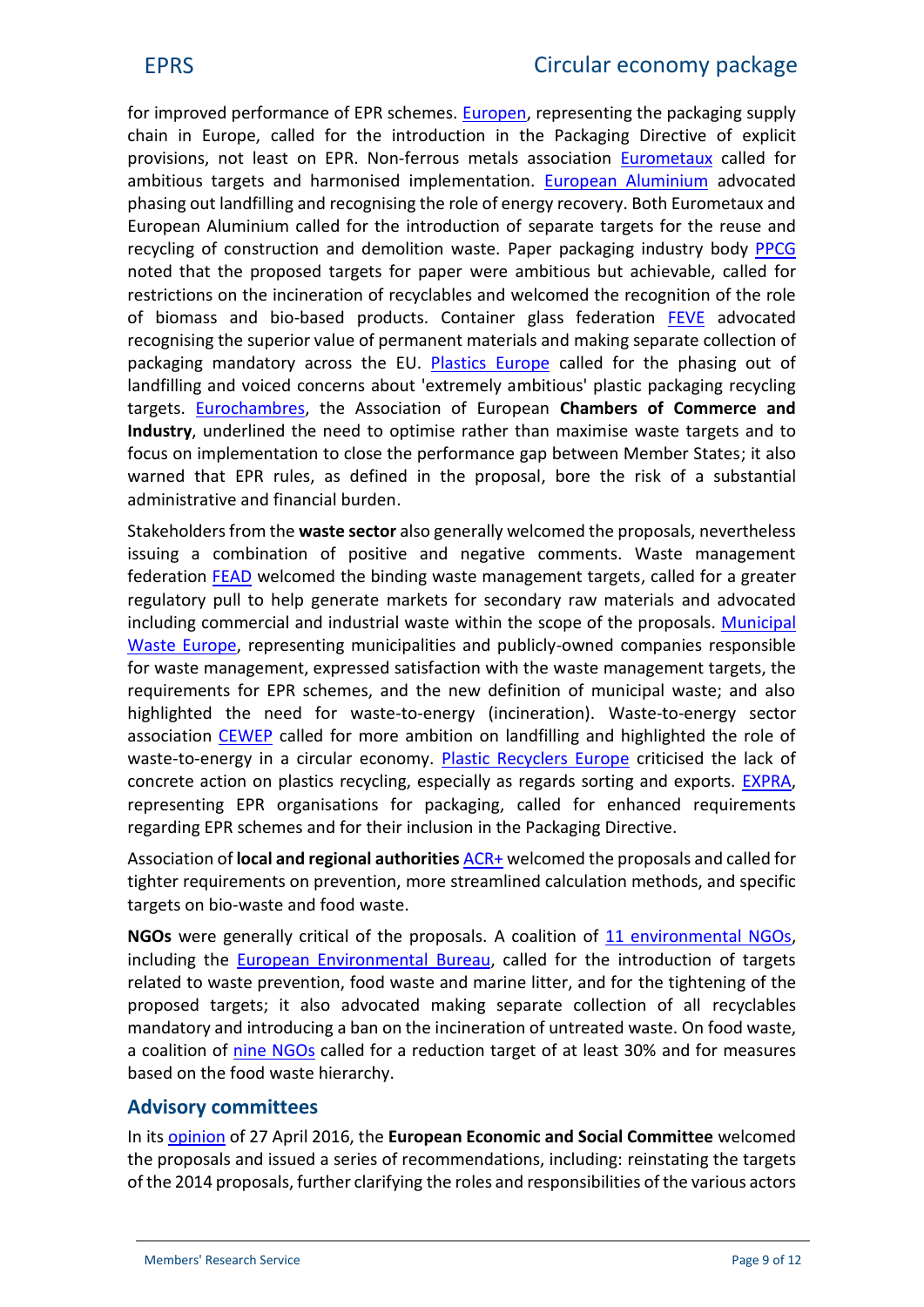for improved performance of EPR schemes. [Europen](http://www.europen-packaging.eu/downloads/1872.html), representing the packaging supply chain in Europe, called for the introduction in the Packaging Directive of explicit provisions, not least on EPR. Non-ferrous metals association [Eurometaux](http://eurometaux.be/DesktopModules/Bring2mind/DMX/Download.aspx?Command=Core_Download&EntryId=8630&PortalId=0&TabId=57) called for ambitious targets and harmonised implementation. [European Aluminium](http://european-aluminium.eu/media/1495/2016-04-european-aluminium_position-paper-on-circular-economy.pdf) advocated phasing out landfilling and recognising the role of energy recovery. Both Eurometaux and European Aluminium called for the introduction of separate targets for the reuse and recycling of construction and demolition waste. Paper packaging industry body [PPCG](http://www.cepi.org/node/20388) noted that the proposed targets for paper were ambitious but achievable, called for restrictions on the incineration of recyclables and welcomed the recognition of the role of biomass and bio-based products. Container glass federation [FEVE](http://feve.org/wp-content/uploads/2016/05/FEVE-Position-on-Circular-Economy-Package.pdf) advocated recognising the superior value of permanent materials and making separate collection of packaging mandatory across the EU. [Plastics Europe](http://www.plasticseurope.org/information-centre/press-releases/press-releases-2015/plasticseurope-welcomes-the-ecs-circular-economy-package.aspx) called for the phasing out of landfilling and voiced concerns about 'extremely ambitious' plastic packaging recycling targets. [Eurochambres](http://www.eurochambres.eu/Content/Default.asp?PageID=1&DocID=7348), the Association of European **Chambers of Commerce and Industry**, underlined the need to optimise rather than maximise waste targets and to focus on implementation to close the performance gap between Member States; it also warned that EPR rules, as defined in the proposal, bore the risk of a substantial administrative and financial burden.

Stakeholders from the **waste sector** also generally welcomed the proposals, nevertheless issuing a combination of positive and negative comments. Waste management federation [FEAD](http://www.fead.be/images/PDF/position_papers/2016/FEAD_position_paper_-_FINAL.pdf) welcomed the binding waste management targets, called for a greater regulatory pull to help generate markets for secondary raw materials and advocated including commercial and industrial waste within the scope of the proposals. [Municipal](http://www.municipalwasteeurope.eu/sites/default/files/PRESS RELEASE MWE CEP2-12-15.pdf) [Waste Europe](http://www.municipalwasteeurope.eu/sites/default/files/PRESS RELEASE MWE CEP2-12-15.pdf), representing municipalities and publicly-owned companies responsible for waste management, expressed satisfaction with the waste management targets, the requirements for EPR schemes, and the new definition of municipal waste; and also highlighted the need for waste-to-energy (incineration). Waste-to-energy sector association [CEWEP](http://www.cewep.eu/m_1464) called for more ambition on landfilling and highlighted the role of waste-to-energy in a circular economy. [Plastic Recyclers Europe](http://www.plasticsrecyclers.eu/sites/default/files/New Circular Economy Package lacks concrete actions - PRE Press Release 151202.pdf) criticised the lack of concrete action on plastics recycling, especially as regards sorting and exports. [EXPRA](http://www.expra.eu/downloads/expra_s_prelimin_DVauJ.pdf), representing EPR organisations for packaging, called for enhanced requirements regarding EPR schemes and for their inclusion in the Packaging Directive.

Association of **[local and regional authorities](http://www.acrplus.org/index.php/en/virtual-library/finish/10/2730)** ACR+ welcomed the proposals and called for tighter requirements on prevention, more streamlined calculation methods, and specific targets on bio-waste and food waste.

NGOs were generally critical of the proposals. A coalition of 11 [environmental NGOs](https://www.zerowasteeurope.eu/wp-content/uploads/2016/05/10-KEY-STEPS.pdf), including the [European Environmental Bureau](http://www.eeb.org/index.cfm/library/eeb-position-paper-on-the-circular-economy-package/), called for the introduction of targets related to waste prevention, food waste and marine litter, and for the tightening of the proposed targets; it also advocated making separate collection of all recyclables mandatory and introducing a ban on the incineration of untreated waste. On food waste, a coalition of [nine NGOs](https://www.foe.co.uk/sites/default/files/downloads/eu-circular-economy-package-joint-position-paper-food-waste-99839.pdf) called for a reduction target of at least 30% and for measures based on the food waste hierarchy.

# **Advisory committees**

In its [opinion](http://files-eu.clickdimensions.com/eesceuropaeu-ae77k/documents/eesc-2016-00042-00-00-ac-tra-en.pdf?_cldee=ZGlkaWVyLmJvdXJndWlnbm9uQGVwLmV1cm9wYS5ldQ%3d%3d&urlid=0) of 27 April 2016, the **European Economic and Social Committee** welcomed the proposals and issued a series of recommendations, including: reinstating the targets of the 2014 proposals, further clarifying the roles and responsibilities of the various actors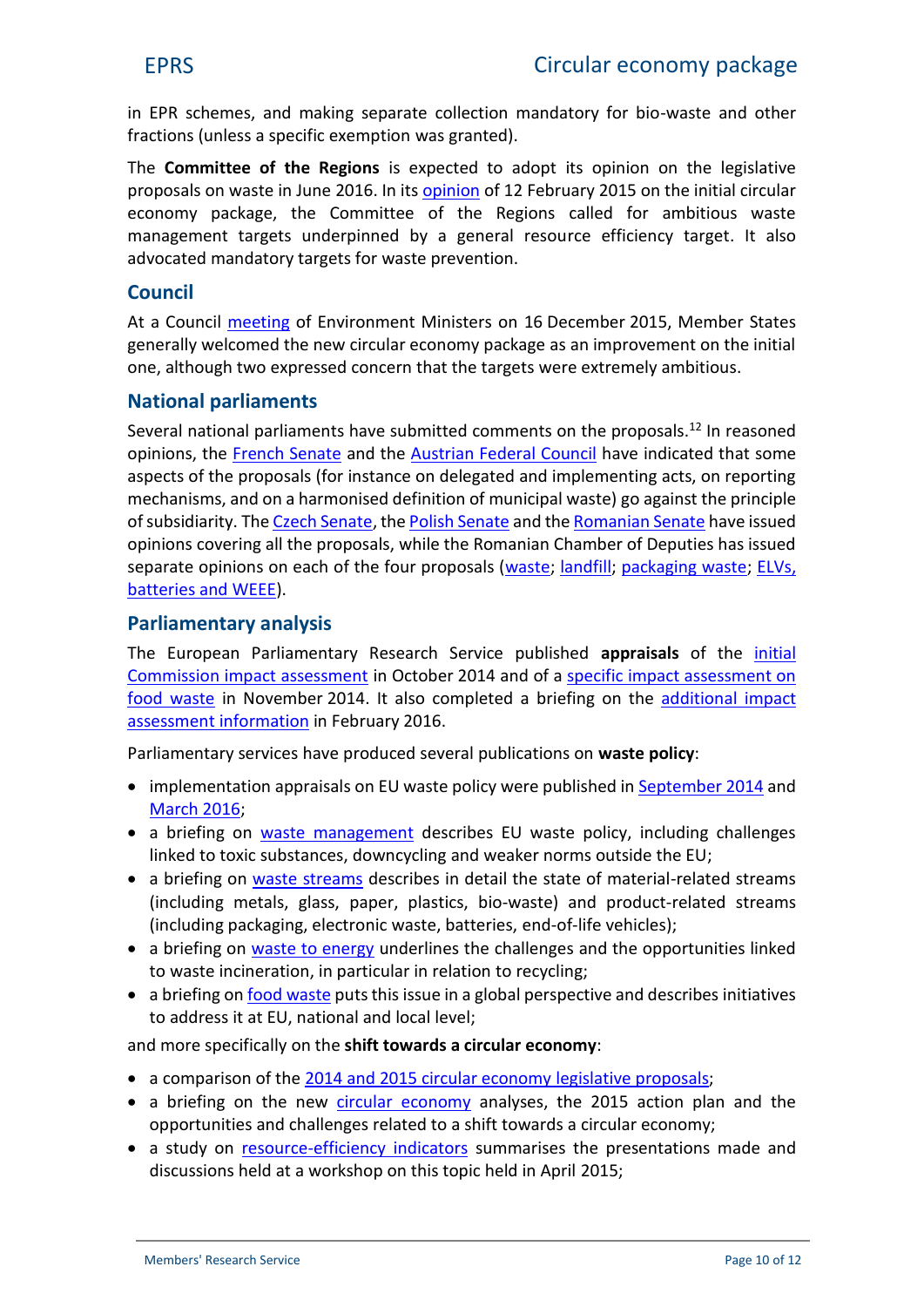in EPR schemes, and making separate collection mandatory for bio-waste and other fractions (unless a specific exemption was granted).

The **Committee of the Regions** is expected to adopt its opinion on the legislative proposals on waste in June 2016. In its [opinion](https://toad.cor.europa.eu/ViewDoc.aspx?doc=cdr%5cenve-v%5cdossiers%5cenve-v-048%5cEN%5cCOR-2014-04083-00-01-AC-TRA_EN.docx&docid=3056403) of 12 February 2015 on the initial circular economy package, the Committee of the Regions called for ambitious waste management targets underpinned by a general resource efficiency target. It also advocated mandatory targets for waste prevention.

### **Council**

At a Council [meeting](http://video.consilium.europa.eu/en/webcast/e37d9804-36d6-4ef2-bffb-68a5e16610f0) of Environment Ministers on 16 December 2015, Member States generally welcomed the new circular economy package as an improvement on the initial one, although two expressed concern that the targets were extremely ambitious.

#### **National parliaments**

Several national parliaments have submitted comments on the proposals.<sup>12</sup> In reasoned opinions, the [French Senate](http://www.ipex.eu/IPEXL-WEB/scrutiny/COD20150275/frsen.do) and the [Austrian Federal Council](http://www.ipex.eu/IPEXL-WEB/scrutiny/COD20150275/atbun.do) have indicated that some aspects of the proposals (for instance on delegated and implementing acts, on reporting mechanisms, and on a harmonised definition of municipal waste) go against the principle of subsidiarity. The [Czech Senate](http://www.ipex.eu/IPEXL-WEB/scrutiny/COD20150275/czsen.do), the [Polish Senate](http://www.ipex.eu/IPEXL-WEB/scrutiny/COD20150275/plsen.do) and the [Romanian Senate](http://www.ipex.eu/IPEXL-WEB/scrutiny/COD20150274/rosen.do) have issued opinions covering all the proposals, while the Romanian Chamber of Deputies has issued separate opinions on each of the four proposals [\(waste](http://www.ipex.eu/IPEXL-WEB/scrutiny/COD20150275/rocam.do); [landfill](http://www.ipex.eu/IPEXL-WEB/scrutiny/COD20150274/rocam.do); [packaging waste](http://www.ipex.eu/IPEXL-WEB/scrutiny/COD20150276/rocam.do); [ELVs,](http://www.ipex.eu/IPEXL-WEB/scrutiny/COD20150272/rocam.do) [batteries and WEEE](http://www.ipex.eu/IPEXL-WEB/scrutiny/COD20150272/rocam.do)).

#### **Parliamentary analysis**

The European Parliamentary Research Service published **appraisals** of the [initial](http://www.europarl.europa.eu/RegData/etudes/BRIE/2014/528804/EPRS_BRI(2014)528804_REV1_EN.pdf) [Commission impact assessment](http://www.europarl.europa.eu/RegData/etudes/BRIE/2014/528804/EPRS_BRI(2014)528804_REV1_EN.pdf) in October 2014 and of a [specific impact assessment on](http://www.europarl.europa.eu/RegData/etudes/BRIE/2014/528808/EPRS_BRI(2014)528808_REV1_EN.pdf) [food waste](http://www.europarl.europa.eu/RegData/etudes/BRIE/2014/528808/EPRS_BRI(2014)528808_REV1_EN.pdf) in November 2014. It also completed a briefing on the [additional](http://www.europarl.europa.eu/thinktank/en/document.html?reference=EPRS_BRI(2016)528826) impact assessment [information](http://www.europarl.europa.eu/thinktank/en/document.html?reference=EPRS_BRI(2016)528826) in February 2016.

Parliamentary services have produced several publications on **waste policy**:

- implementation appraisals on EU waste policy were published in [September](http://www.europarl.europa.eu/RegData/etudes/BRIE/2014/536334/EPRS_BRI(2014)536334_REV1_EN.pdf) 2014 and [March 2016](http://www.europarl.europa.eu/RegData/etudes/BRIE/2016/573291/EPRS_BRI(2016)573291_EN.pdf);
- a briefing on [waste manageme](http://www.europarl.europa.eu/RegData/etudes/BRIE/2015/559493/EPRS_BRI(2015)559493_EN.pdf)nt describes EU waste policy, including challenges linked to toxic substances, downcycling and weaker norms outside the EU;
- a briefing on [waste stream](http://www.europarl.europa.eu/RegData/etudes/BRIE/2015/564398/EPRS_BRI(2015)564398_EN.pdf)s describes in detail the state of material-related streams (including metals, glass, paper, plastics, bio-waste) and product-related streams (including packaging, electronic waste, batteries, end-of-life vehicles);
- a briefing on [waste to ener](http://www.europarl.europa.eu/RegData/etudes/BRIE/2015/554208/EPRS_BRI(2015)554208_FR.pdf)gy underlines the challenges and the opportunities linked to waste incineration, in particular in relation to recycling;
- a briefing on [food was](http://www.europarl.europa.eu/RegData/bibliotheque/briefing/2014/130678/LDM_BRI(2014)130678_REV1_EN.pdf)te puts this issue in a global perspective and describes initiatives to address it at EU, national and local level;

and more specifically on the **shift towards a circular economy**:

- a comparison of the [2014 and 2015 circular economy](http://www.europarl.europa.eu/thinktank/en/document.html?reference=EPRS_ATA(2016)573937) legislative proposals;
- a briefing on the new [circular econom](http://www.europarl.europa.eu/RegData/etudes/BRIE/2016/573899/EPRS_BRI(2016)573899_EN.pdf)y analyses, the 2015 action plan and the opportunities and challenges related to a shift towards a circular economy;
- a study on [resource-efficiency indicato](http://www.europarl.europa.eu/RegData/etudes/STUD/2015/542206/IPOL_STU(2015)542206_EN.pdf)rs summarises the presentations made and discussions held at a workshop on this topic held in April 2015;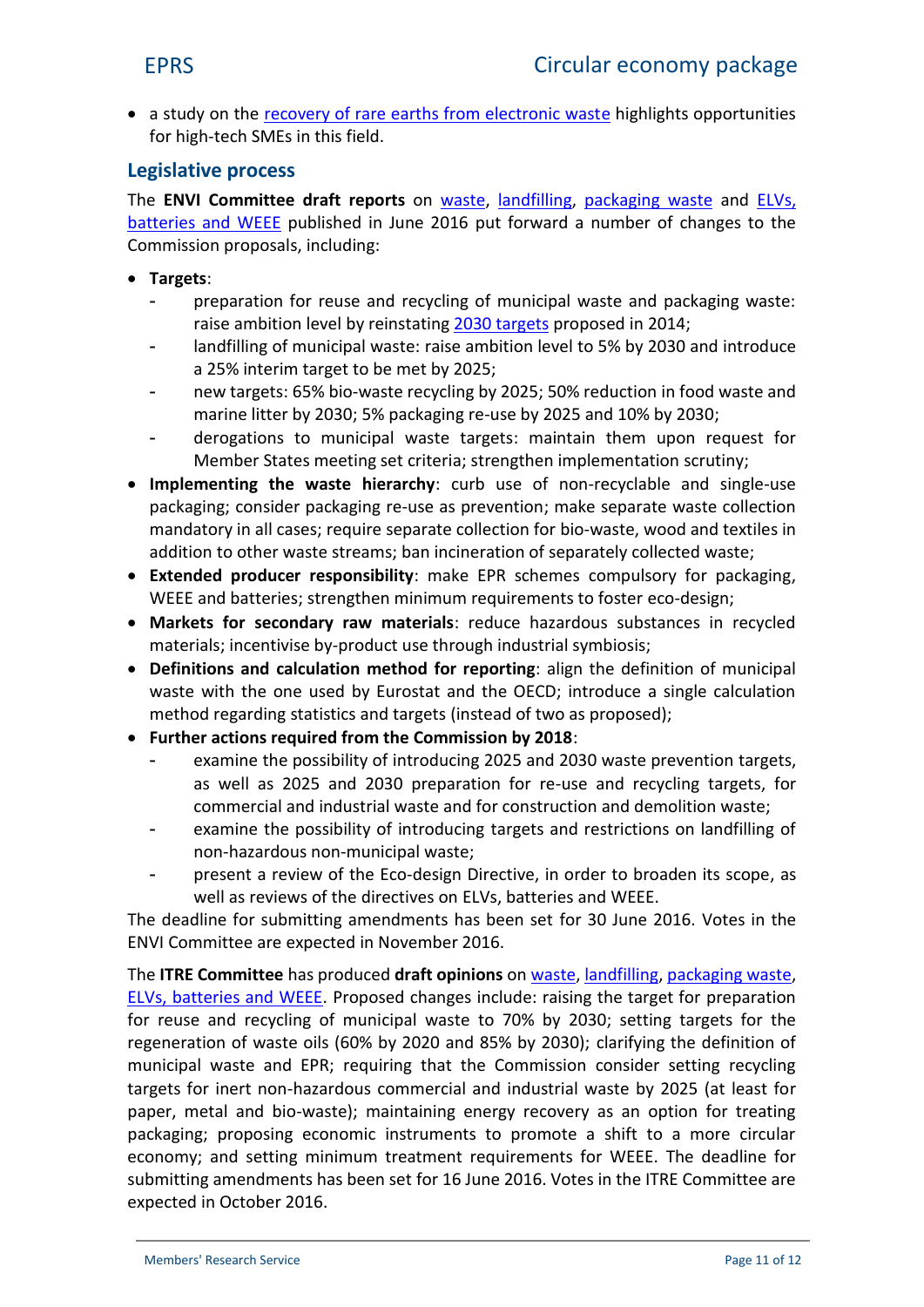• a study on the [recovery of rare earths from electronic was](http://www.europarl.europa.eu/RegData/etudes/STUD/2015/518777/IPOL_STU(2015)518777_EN.pdf)te highlights opportunities for high-tech SMEs in this field.

# **Legislative process**

The **ENVI Committee draft reports** on [waste,](http://www.europarl.europa.eu/sides/getDoc.do?type=COMPARL&reference=PE-580.497&format=PDF&language=EN&secondRef=01) [landfilling](http://www.europarl.europa.eu/sides/getDoc.do?type=COMPARL&reference=PE-580.563&format=PDF&language=EN&secondRef=01), [packaging waste](http://www.europarl.europa.eu/sides/getDoc.do?type=COMPARL&reference=PE-582.447&format=PDF&language=EN&secondRef=01) and [ELVs,](http://www.europarl.europa.eu/RegData/commissions/envi/projet_rapport/2016/580560/ENVI_PR(2016)580560_EN.pdf) [batteries and WEEE](http://www.europarl.europa.eu/RegData/commissions/envi/projet_rapport/2016/580560/ENVI_PR(2016)580560_EN.pdf) published in June 2016 put forward a number of changes to the Commission proposals, including:

- **Targets**:
	- preparation for reuse and recycling of municipal waste and packaging waste: raise ambition level by reinstating [2030 targets](http://www.europarl.europa.eu/RegData/etudes/ATAG/2016/573937/EPRS_ATA(2016)573937_EN.pdf) proposed in 2014;
	- landfilling of municipal waste: raise ambition level to 5% by 2030 and introduce a 25% interim target to be met by 2025;
	- new targets: 65% bio-waste recycling by 2025; 50% reduction in food waste and marine litter by 2030; 5% packaging re-use by 2025 and 10% by 2030;
	- derogations to municipal waste targets: maintain them upon request for Member States meeting set criteria; strengthen implementation scrutiny;
- **Implementing the waste hierarchy**: curb use of non-recyclable and single-use packaging; consider packaging re-use as prevention; make separate waste collection mandatory in all cases; require separate collection for bio-waste, wood and textiles in addition to other waste streams; ban incineration of separately collected waste;
- **Extended producer responsibility**: make EPR schemes compulsory for packaging, WEEE and batteries; strengthen minimum requirements to foster eco-design;
- **Markets for secondary raw materials**: reduce hazardous substances in recycled materials; incentivise by-product use through industrial symbiosis;
- **Definitions and calculation method for reporting**: align the definition of municipal waste with the one used by Eurostat and the OECD; introduce a single calculation method regarding statistics and targets (instead of two as proposed);
- **Further actions required from the Commission by 2018**:
	- examine the possibility of introducing 2025 and 2030 waste prevention targets, as well as 2025 and 2030 preparation for re-use and recycling targets, for commercial and industrial waste and for construction and demolition waste;
	- examine the possibility of introducing targets and restrictions on landfilling of non-hazardous non-municipal waste;
	- present a review of the Eco-design Directive, in order to broaden its scope, as well as reviews of the directives on ELVs, batteries and WEEE.

The deadline for submitting amendments has been set for 30 June 2016. Votes in the ENVI Committee are expected in November 2016.

The **ITRE Committee** has produced **draft opinions** on [waste](http://www.europarl.europa.eu/RegData/commissions/itre/projet_avis/2016/582196/ITRE_PA(2016)582196_EN.pdf), [landfilling](http://www.europarl.europa.eu/RegData/commissions/itre/projet_avis/2016/582213/ITRE_PA(2016)582213_EN.pdf), [packaging waste](http://www.europarl.europa.eu/RegData/commissions/itre/projet_avis/2016/582211/ITRE_PA(2016)582211_EN.pdf), [ELVs, batteries and WEEE](http://www.europarl.europa.eu/RegData/commissions/itre/projet_avis/2016/582215/ITRE_PA(2016)582215_EN.pdf). Proposed changes include: raising the target for preparation for reuse and recycling of municipal waste to 70% by 2030; setting targets for the regeneration of waste oils (60% by 2020 and 85% by 2030); clarifying the definition of municipal waste and EPR; requiring that the Commission consider setting recycling targets for inert non-hazardous commercial and industrial waste by 2025 (at least for paper, metal and bio-waste); maintaining energy recovery as an option for treating packaging; proposing economic instruments to promote a shift to a more circular economy; and setting minimum treatment requirements for WEEE. The deadline for submitting amendments has been set for 16 June 2016. Votes in the ITRE Committee are expected in October 2016.